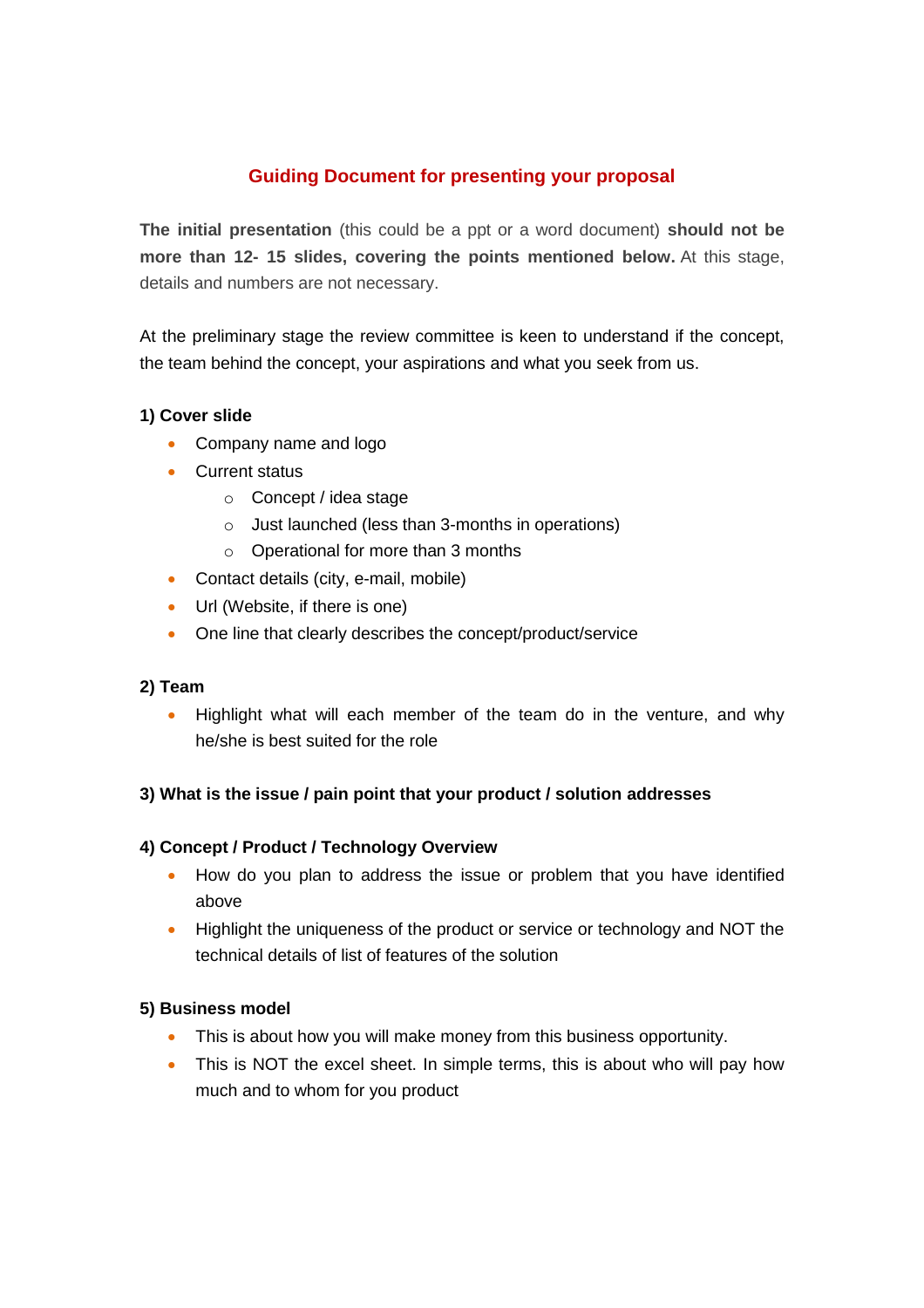# **Guiding Document for presenting your proposal**

**The initial presentation** (this could be a ppt or a word document) **should not be more than 12- 15 slides, covering the points mentioned below.** At this stage, details and numbers are not necessary.

At the preliminary stage the review committee is keen to understand if the concept, the team behind the concept, your aspirations and what you seek from us.

# **1) Cover slide**

- Company name and logo
- Current status
	- o Concept / idea stage
	- o Just launched (less than 3-months in operations)
	- o Operational for more than 3 months
- Contact details (city, e-mail, mobile)
- Url (Website, if there is one)
- One line that clearly describes the concept/product/service

# **2) Team**

**•** Highlight what will each member of the team do in the venture, and why he/she is best suited for the role

# **3) What is the issue / pain point that your product / solution addresses**

# **4) Concept / Product / Technology Overview**

- How do you plan to address the issue or problem that you have identified above
- Highlight the uniqueness of the product or service or technology and NOT the technical details of list of features of the solution

# **5) Business model**

- This is about how you will make money from this business opportunity.
- This is NOT the excel sheet. In simple terms, this is about who will pay how much and to whom for you product